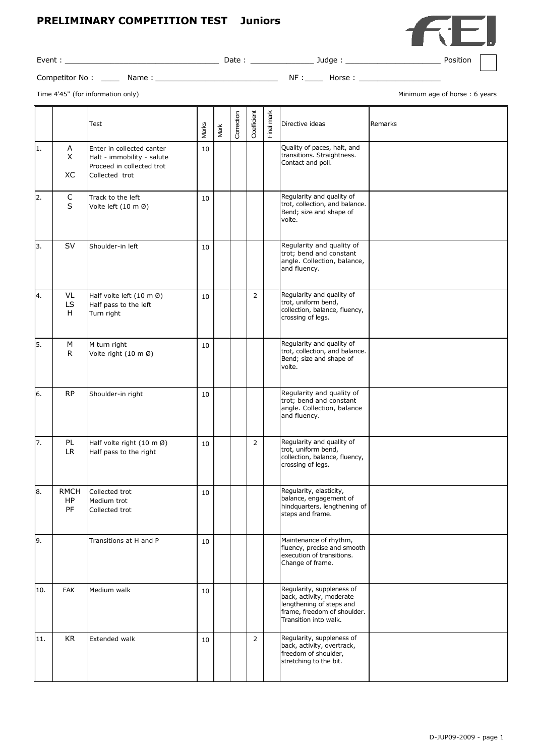## **PRELIMINARY COMPETITION TEST Juniors**



Event : \_\_\_\_\_\_\_\_\_\_\_\_\_\_\_\_\_\_\_\_\_\_\_\_\_\_\_\_\_\_\_\_\_\_ Date : \_\_\_\_\_\_\_\_\_\_\_\_\_\_ Judge : \_\_\_\_\_\_\_\_\_\_\_\_\_\_\_\_\_\_\_\_\_ Position

Competitor No : \_\_\_\_ Name : \_\_\_\_\_\_\_\_\_\_\_\_\_\_\_\_\_\_\_\_\_\_\_\_\_\_\_ NF :\_\_\_\_ Horse : \_\_\_\_\_\_\_\_\_\_\_\_\_\_\_\_\_\_

Time 4'45" (for information only) and the state of the state of the state of the state of the state of the state of the state of the state of the state of the state of the state of the state of the state of the state of th

|     |                         | Test                                                                                                   | Narks | Mark | Correction | Coefficient    | Final mark | Directive ideas                                                                                                                           | Remarks |
|-----|-------------------------|--------------------------------------------------------------------------------------------------------|-------|------|------------|----------------|------------|-------------------------------------------------------------------------------------------------------------------------------------------|---------|
| 1.  | A<br>X<br>XC            | Enter in collected canter<br>Halt - immobility - salute<br>Proceed in collected trot<br>Collected trot | 10    |      |            |                |            | Quality of paces, halt, and<br>transitions. Straightness.<br>Contact and poll.                                                            |         |
| 2.  | C<br>$\sf S$            | Track to the left<br>Volte left (10 m Ø)                                                               | 10    |      |            |                |            | Regularity and quality of<br>trot, collection, and balance.<br>Bend; size and shape of<br>volte.                                          |         |
| 3.  | <b>SV</b>               | Shoulder-in left                                                                                       | 10    |      |            |                |            | Regularity and quality of<br>trot; bend and constant<br>angle. Collection, balance,<br>and fluency.                                       |         |
| 4.  | VL<br>LS<br>H           | Half volte left $(10 \text{ m }\varnothing)$<br>Half pass to the left<br>Turn right                    | 10    |      |            | $\overline{2}$ |            | Regularity and quality of<br>trot, uniform bend,<br>collection, balance, fluency,<br>crossing of legs.                                    |         |
| 5.  | М<br>R                  | M turn right<br>Volte right (10 m Ø)                                                                   | 10    |      |            |                |            | Regularity and quality of<br>trot, collection, and balance.<br>Bend; size and shape of<br>volte.                                          |         |
| 6.  | <b>RP</b>               | Shoulder-in right                                                                                      | 10    |      |            |                |            | Regularity and quality of<br>trot; bend and constant<br>angle. Collection, balance<br>and fluency.                                        |         |
| 7.  | PL<br>LR.               | Half volte right $(10 \text{ m }\%)$<br>Half pass to the right                                         | 10    |      |            | $\overline{2}$ |            | Regularity and quality of<br>trot, uniform bend,<br>collection, balance, fluency,<br>crossing of legs.                                    |         |
| 8.  | <b>RMCH</b><br>HP<br>PF | Collected trot<br>Medium trot<br>Collected trot                                                        | 10    |      |            |                |            | Regularity, elasticity,<br>balance, engagement of<br>hindquarters, lengthening of<br>steps and frame.                                     |         |
| 9.  |                         | Transitions at H and P                                                                                 | 10    |      |            |                |            | Maintenance of rhythm,<br>fluency, precise and smooth<br>execution of transitions.<br>Change of frame.                                    |         |
| 10. | <b>FAK</b>              | Medium walk                                                                                            | 10    |      |            |                |            | Regularity, suppleness of<br>back, activity, moderate<br>lengthening of steps and<br>frame, freedom of shoulder.<br>Transition into walk. |         |
| 11. | <b>KR</b>               | Extended walk                                                                                          | 10    |      |            | $\overline{2}$ |            | Regularity, suppleness of<br>back, activity, overtrack,<br>freedom of shoulder,<br>stretching to the bit.                                 |         |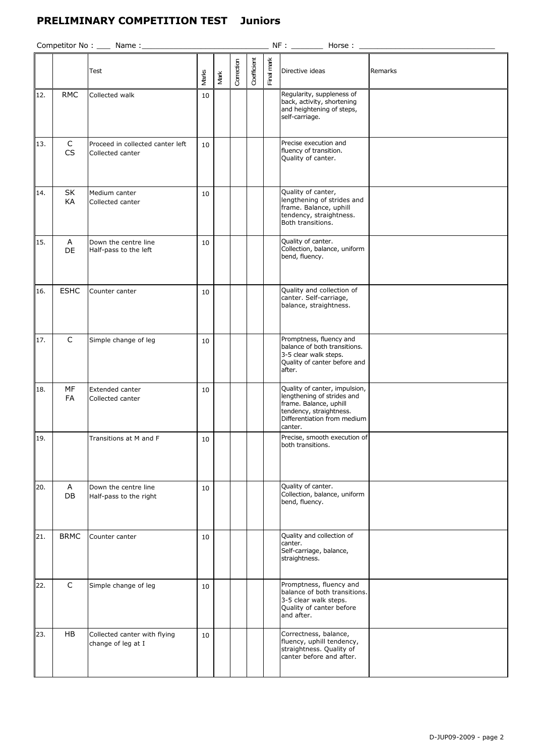## **PRELIMINARY COMPETITION TEST Juniors**

| Competitor No : ____ Name :_<br>NF:<br>Horse: |                |                                                      |              |      |            |             |            |                                                                                                                                                            |         |
|-----------------------------------------------|----------------|------------------------------------------------------|--------------|------|------------|-------------|------------|------------------------------------------------------------------------------------------------------------------------------------------------------------|---------|
|                                               |                | Test                                                 | <b>Marks</b> | Mark | Correction | Coefficient | Final mark | Directive ideas                                                                                                                                            | Remarks |
| 12.                                           | <b>RMC</b>     | Collected walk                                       | 10           |      |            |             |            | Regularity, suppleness of<br>back, activity, shortening<br>and heightening of steps,<br>self-carriage.                                                     |         |
| 13.                                           | C<br>CS        | Proceed in collected canter left<br>Collected canter | 10           |      |            |             |            | Precise execution and<br>fluency of transition.<br>Quality of canter.                                                                                      |         |
| 14.                                           | SK<br>KA       | Medium canter<br>Collected canter                    | 10           |      |            |             |            | Quality of canter,<br>lengthening of strides and<br>frame. Balance, uphill<br>tendency, straightness.<br>Both transitions.                                 |         |
| 15.                                           | A<br>DE        | Down the centre line<br>Half-pass to the left        | 10           |      |            |             |            | Quality of canter.<br>Collection, balance, uniform<br>bend, fluency.                                                                                       |         |
| 16.                                           | <b>ESHC</b>    | Counter canter                                       | 10           |      |            |             |            | Quality and collection of<br>canter. Self-carriage,<br>balance, straightness.                                                                              |         |
| 17.                                           | $\mathsf C$    | Simple change of leg                                 | 10           |      |            |             |            | Promptness, fluency and<br>balance of both transitions.<br>3-5 clear walk steps.<br>Quality of canter before and<br>after.                                 |         |
| 18.                                           | MF<br>FA       | Extended canter<br>Collected canter                  | 10           |      |            |             |            | Quality of canter, impulsion,<br>lengthening of strides and<br>frame. Balance, uphill<br>tendency, straightness.<br>Differentiation from medium<br>canter. |         |
| 19.                                           |                | Transitions at M and F                               | 10           |      |            |             |            | Precise, smooth execution of<br>both transitions.                                                                                                          |         |
| 20.                                           | A<br><b>DB</b> | Down the centre line<br>Half-pass to the right       | 10           |      |            |             |            | Quality of canter.<br>Collection, balance, uniform<br>bend, fluency.                                                                                       |         |
| 21.                                           | <b>BRMC</b>    | Counter canter                                       | 10           |      |            |             |            | Quality and collection of<br>canter.<br>Self-carriage, balance,<br>straightness.                                                                           |         |
| 22.                                           | $\mathsf{C}$   | Simple change of leg                                 | 10           |      |            |             |            | Promptness, fluency and<br>balance of both transitions.<br>3-5 clear walk steps.<br>Quality of canter before<br>and after.                                 |         |
| 23.                                           | HB             | Collected canter with flying<br>change of leg at I   | 10           |      |            |             |            | Correctness, balance,<br>fluency, uphill tendency,<br>straightness. Quality of<br>canter before and after.                                                 |         |